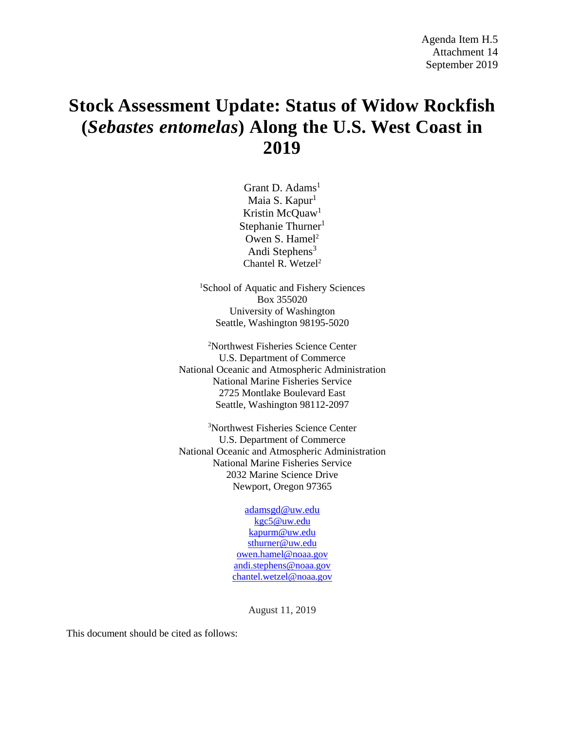# **Stock Assessment Update: Status of Widow Rockfish (***Sebastes entomelas***) Along the U.S. West Coast in 2019**

Grant D. Adams<sup>1</sup> Maia S. Kapur<sup>1</sup> Kristin McQuaw<sup>1</sup> Stephanie Thurner $<sup>1</sup>$ </sup> Owen S. Hamel<sup>2</sup> Andi Stephens $3$ Chantel R. Wetzel<sup>2</sup>

1 School of Aquatic and Fishery Sciences Box 355020 University of Washington Seattle, Washington 98195-5020

2 Northwest Fisheries Science Center U.S. Department of Commerce National Oceanic and Atmospheric Administration National Marine Fisheries Service 2725 Montlake Boulevard East Seattle, Washington 98112-2097

3 Northwest Fisheries Science Center U.S. Department of Commerce National Oceanic and Atmospheric Administration National Marine Fisheries Service 2032 Marine Science Drive Newport, Oregon 97365

> [adamsgd@uw.edu](mailto:adamsgd@uw.edu) [kgc5@uw.edu](mailto:kgc5@uw.edu) [kapurm@uw.edu](mailto:kapurm@uw.edu) [sthurner@uw.edu](mailto:sthurner@uw.edu) [owen.hamel@noaa.gov](mailto:owen.hamel@noaa.gov) [andi.stephens@noaa.gov](mailto:andi.stephens@noaa.gov) [chantel.wetzel@noaa.gov](mailto:chantel.wetzel@noaa.gov)

> > August 11, 2019

This document should be cited as follows: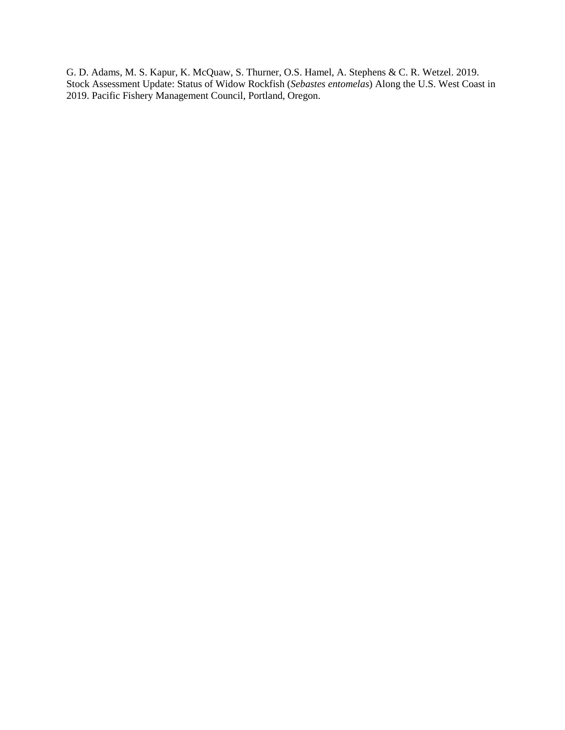G. D. Adams, M. S. Kapur, K. McQuaw, S. Thurner, O.S. Hamel, A. Stephens & C. R. Wetzel. 2019. Stock Assessment Update: Status of Widow Rockfish (*Sebastes entomelas*) Along the U.S. West Coast in 2019. Pacific Fishery Management Council, Portland, Oregon.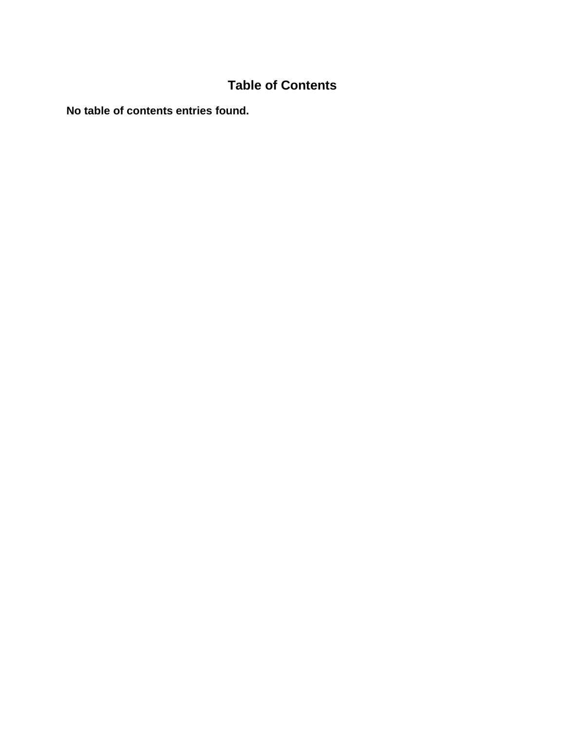# **Table of Contents**

**No table of contents entries found.**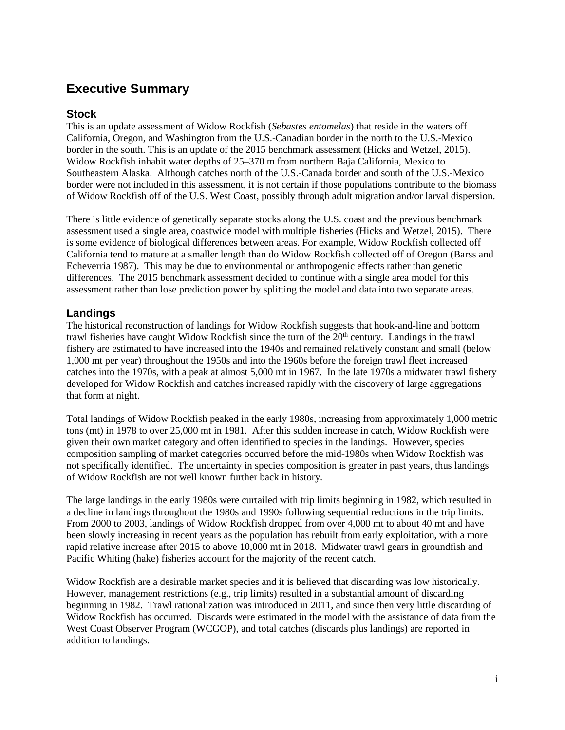## **Executive Summary**

## **Stock**

This is an update assessment of Widow Rockfish (*Sebastes entomelas*) that reside in the waters off California, Oregon, and Washington from the U.S.-Canadian border in the north to the U.S.-Mexico border in the south. This is an update of the 2015 benchmark assessment (Hicks and Wetzel, 2015). Widow Rockfish inhabit water depths of 25–370 m from northern Baja California, Mexico to Southeastern Alaska. Although catches north of the U.S.-Canada border and south of the U.S.-Mexico border were not included in this assessment, it is not certain if those populations contribute to the biomass of Widow Rockfish off of the U.S. West Coast, possibly through adult migration and/or larval dispersion.

There is little evidence of genetically separate stocks along the U.S. coast and the previous benchmark assessment used a single area, coastwide model with multiple fisheries (Hicks and Wetzel, 2015). There is some evidence of biological differences between areas. For example, Widow Rockfish collected off California tend to mature at a smaller length than do Widow Rockfish collected off of Oregon (Barss and Echeverria 1987). This may be due to environmental or anthropogenic effects rather than genetic differences. The 2015 benchmark assessment decided to continue with a single area model for this assessment rather than lose prediction power by splitting the model and data into two separate areas.

## **Landings**

The historical reconstruction of landings for Widow Rockfish suggests that hook-and-line and bottom trawl fisheries have caught Widow Rockfish since the turn of the 20<sup>th</sup> century. Landings in the trawl fishery are estimated to have increased into the 1940s and remained relatively constant and small (below 1,000 mt per year) throughout the 1950s and into the 1960s before the foreign trawl fleet increased catches into the 1970s, with a peak at almost 5,000 mt in 1967. In the late 1970s a midwater trawl fishery developed for Widow Rockfish and catches increased rapidly with the discovery of large aggregations that form at night.

Total landings of Widow Rockfish peaked in the early 1980s, increasing from approximately 1,000 metric tons (mt) in 1978 to over 25,000 mt in 1981. After this sudden increase in catch, Widow Rockfish were given their own market category and often identified to species in the landings. However, species composition sampling of market categories occurred before the mid-1980s when Widow Rockfish was not specifically identified. The uncertainty in species composition is greater in past years, thus landings of Widow Rockfish are not well known further back in history.

The large landings in the early 1980s were curtailed with trip limits beginning in 1982, which resulted in a decline in landings throughout the 1980s and 1990s following sequential reductions in the trip limits. From 2000 to 2003, landings of Widow Rockfish dropped from over 4,000 mt to about 40 mt and have been slowly increasing in recent years as the population has rebuilt from early exploitation, with a more rapid relative increase after 2015 to above 10,000 mt in 2018. Midwater trawl gears in groundfish and Pacific Whiting (hake) fisheries account for the majority of the recent catch.

Widow Rockfish are a desirable market species and it is believed that discarding was low historically. However, management restrictions (e.g., trip limits) resulted in a substantial amount of discarding beginning in 1982. Trawl rationalization was introduced in 2011, and since then very little discarding of Widow Rockfish has occurred. Discards were estimated in the model with the assistance of data from the West Coast Observer Program (WCGOP), and total catches (discards plus landings) are reported in addition to landings.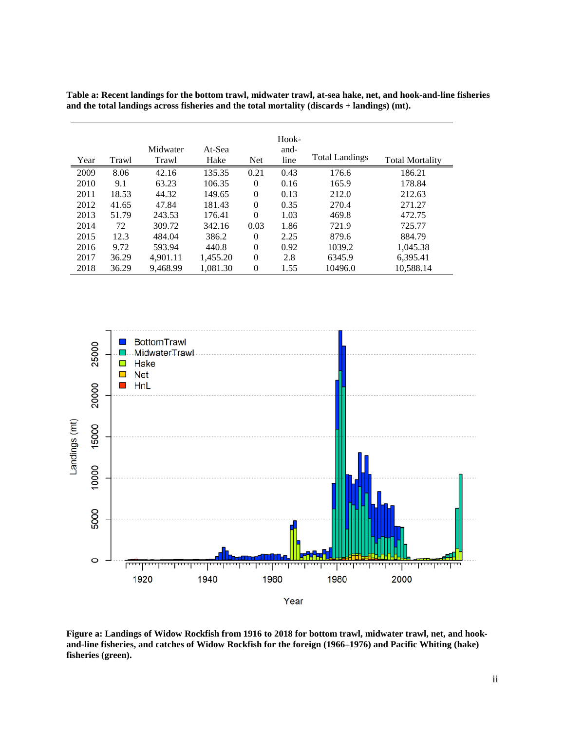| Table a: Recent landings for the bottom trawl, midwater trawl, at-sea hake, net, and hook-and-line fisheries |
|--------------------------------------------------------------------------------------------------------------|
| and the total landings across fisheries and the total mortality (discards $+$ landings) (mt).                |

|      |       | Midwater | At-Sea   |                | Hook-<br>and-<br>line | <b>Total Landings</b> |                        |
|------|-------|----------|----------|----------------|-----------------------|-----------------------|------------------------|
| Year | Trawl | Trawl    | Hake     | <b>Net</b>     |                       |                       | <b>Total Mortality</b> |
| 2009 | 8.06  | 42.16    | 135.35   | 0.21           | 0.43                  | 176.6                 | 186.21                 |
| 2010 | 9.1   | 63.23    | 106.35   | $\Omega$       | 0.16                  | 165.9                 | 178.84                 |
| 2011 | 18.53 | 44.32    | 149.65   | $\theta$       | 0.13                  | 212.0                 | 212.63                 |
| 2012 | 41.65 | 47.84    | 181.43   | $\Omega$       | 0.35                  | 270.4                 | 271.27                 |
| 2013 | 51.79 | 243.53   | 176.41   | $\Omega$       | 1.03                  | 469.8                 | 472.75                 |
| 2014 | 72    | 309.72   | 342.16   | 0.03           | 1.86                  | 721.9                 | 725.77                 |
| 2015 | 12.3  | 484.04   | 386.2    | $\Omega$       | 2.25                  | 879.6                 | 884.79                 |
| 2016 | 9.72  | 593.94   | 440.8    | $\Omega$       | 0.92                  | 1039.2                | 1.045.38               |
| 2017 | 36.29 | 4.901.11 | 1,455.20 | $\Omega$       | 2.8                   | 6345.9                | 6,395.41               |
| 2018 | 36.29 | 9,468.99 | 1,081.30 | $\overline{0}$ | 1.55                  | 10496.0               | 10,588.14              |



**Figure a: Landings of Widow Rockfish from 1916 to 2018 for bottom trawl, midwater trawl, net, and hookand-line fisheries, and catches of Widow Rockfish for the foreign (1966–1976) and Pacific Whiting (hake) fisheries (green).**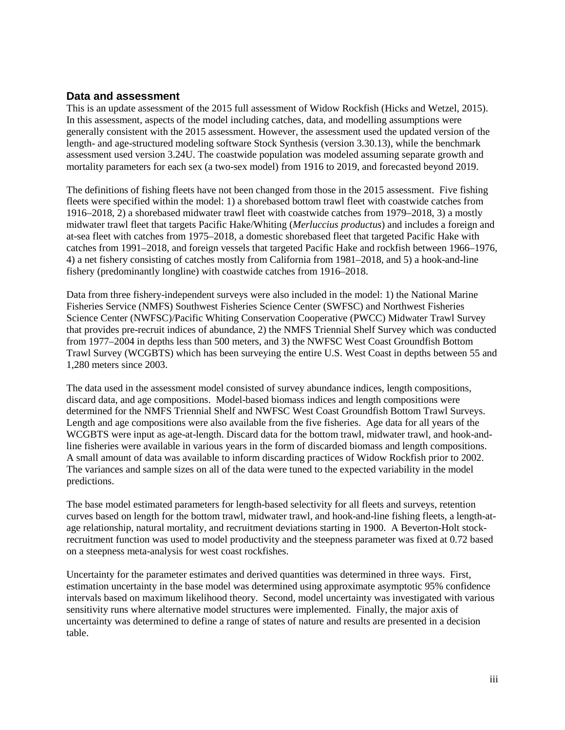### **Data and assessment**

This is an update assessment of the 2015 full assessment of Widow Rockfish (Hicks and Wetzel, 2015). In this assessment, aspects of the model including catches, data, and modelling assumptions were generally consistent with the 2015 assessment. However, the assessment used the updated version of the length- and age-structured modeling software Stock Synthesis (version 3.30.13), while the benchmark assessment used version 3.24U. The coastwide population was modeled assuming separate growth and mortality parameters for each sex (a two-sex model) from 1916 to 2019, and forecasted beyond 2019.

The definitions of fishing fleets have not been changed from those in the 2015 assessment. Five fishing fleets were specified within the model: 1) a shorebased bottom trawl fleet with coastwide catches from 1916–2018, 2) a shorebased midwater trawl fleet with coastwide catches from 1979–2018, 3) a mostly midwater trawl fleet that targets Pacific Hake/Whiting (*Merluccius productus*) and includes a foreign and at-sea fleet with catches from 1975–2018, a domestic shorebased fleet that targeted Pacific Hake with catches from 1991–2018, and foreign vessels that targeted Pacific Hake and rockfish between 1966–1976, 4) a net fishery consisting of catches mostly from California from 1981–2018, and 5) a hook-and-line fishery (predominantly longline) with coastwide catches from 1916–2018.

Data from three fishery-independent surveys were also included in the model: 1) the National Marine Fisheries Service (NMFS) Southwest Fisheries Science Center (SWFSC) and Northwest Fisheries Science Center (NWFSC)/Pacific Whiting Conservation Cooperative (PWCC) Midwater Trawl Survey that provides pre-recruit indices of abundance, 2) the NMFS Triennial Shelf Survey which was conducted from 1977–2004 in depths less than 500 meters, and 3) the NWFSC West Coast Groundfish Bottom Trawl Survey (WCGBTS) which has been surveying the entire U.S. West Coast in depths between 55 and 1,280 meters since 2003.

The data used in the assessment model consisted of survey abundance indices, length compositions, discard data, and age compositions. Model-based biomass indices and length compositions were determined for the NMFS Triennial Shelf and NWFSC West Coast Groundfish Bottom Trawl Surveys. Length and age compositions were also available from the five fisheries. Age data for all years of the WCGBTS were input as age-at-length. Discard data for the bottom trawl, midwater trawl, and hook-andline fisheries were available in various years in the form of discarded biomass and length compositions. A small amount of data was available to inform discarding practices of Widow Rockfish prior to 2002. The variances and sample sizes on all of the data were tuned to the expected variability in the model predictions.

The base model estimated parameters for length-based selectivity for all fleets and surveys, retention curves based on length for the bottom trawl, midwater trawl, and hook-and-line fishing fleets, a length-atage relationship, natural mortality, and recruitment deviations starting in 1900. A Beverton-Holt stockrecruitment function was used to model productivity and the steepness parameter was fixed at 0.72 based on a steepness meta-analysis for west coast rockfishes.

Uncertainty for the parameter estimates and derived quantities was determined in three ways. First, estimation uncertainty in the base model was determined using approximate asymptotic 95% confidence intervals based on maximum likelihood theory. Second, model uncertainty was investigated with various sensitivity runs where alternative model structures were implemented. Finally, the major axis of uncertainty was determined to define a range of states of nature and results are presented in a decision table.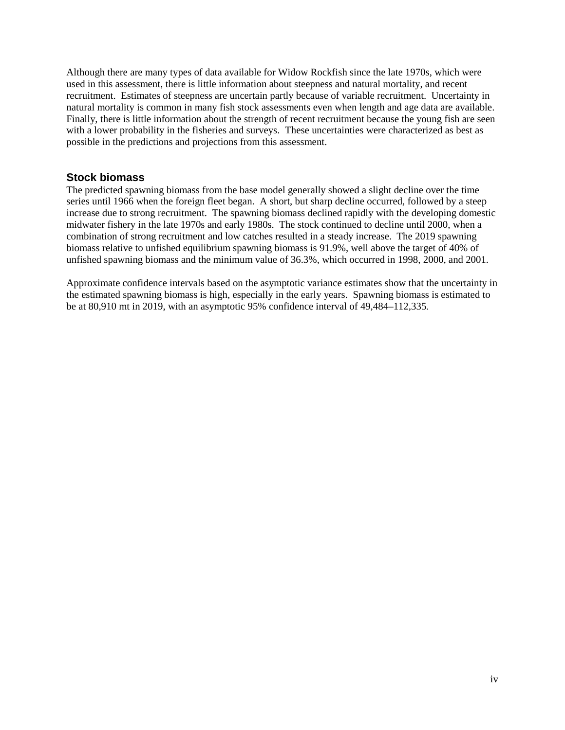Although there are many types of data available for Widow Rockfish since the late 1970s, which were used in this assessment, there is little information about steepness and natural mortality, and recent recruitment. Estimates of steepness are uncertain partly because of variable recruitment. Uncertainty in natural mortality is common in many fish stock assessments even when length and age data are available. Finally, there is little information about the strength of recent recruitment because the young fish are seen with a lower probability in the fisheries and surveys. These uncertainties were characterized as best as possible in the predictions and projections from this assessment.

## **Stock biomass**

The predicted spawning biomass from the base model generally showed a slight decline over the time series until 1966 when the foreign fleet began. A short, but sharp decline occurred, followed by a steep increase due to strong recruitment. The spawning biomass declined rapidly with the developing domestic midwater fishery in the late 1970s and early 1980s. The stock continued to decline until 2000, when a combination of strong recruitment and low catches resulted in a steady increase. The 2019 spawning biomass relative to unfished equilibrium spawning biomass is 91.9%, well above the target of 40% of unfished spawning biomass and the minimum value of 36.3%, which occurred in 1998, 2000, and 2001.

Approximate confidence intervals based on the asymptotic variance estimates show that the uncertainty in the estimated spawning biomass is high, especially in the early years. Spawning biomass is estimated to be at 80,910 mt in 2019, with an asymptotic 95% confidence interval of 49,484–112,335.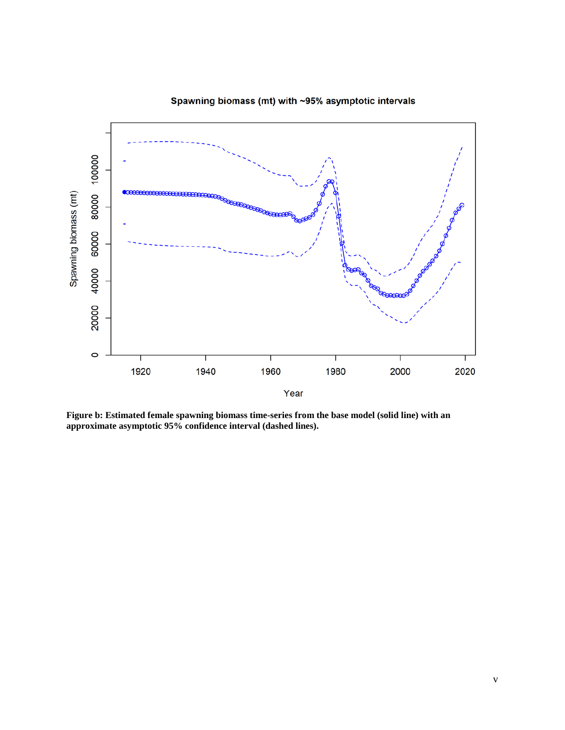

Spawning biomass (mt) with ~95% asymptotic intervals

**Figure b: Estimated female spawning biomass time-series from the base model (solid line) with an approximate asymptotic 95% confidence interval (dashed lines).**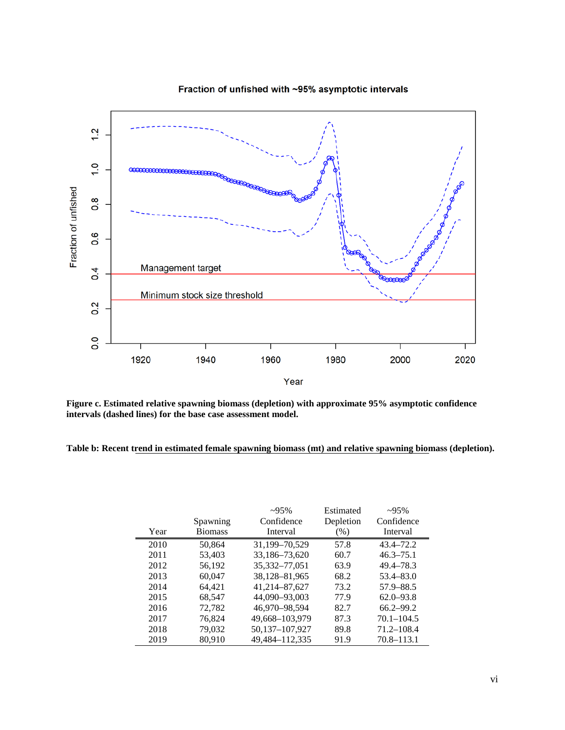

Fraction of unfished with ~95% asymptotic intervals

**Figure c. Estimated relative spawning biomass (depletion) with approximate 95% asymptotic confidence intervals (dashed lines) for the base case assessment model.**

**Table b: Recent trend in estimated female spawning biomass (mt) and relative spawning biomass (depletion).**

|      |                | $-95%$            | Estimated | $~295\%$       |
|------|----------------|-------------------|-----------|----------------|
|      | Spawning       | Confidence        | Depletion | Confidence     |
| Year | <b>Biomass</b> | Interval          | $(\%)$    | Interval       |
| 2010 | 50,864         | 31,199-70,529     | 57.8      | $43.4 - 72.2$  |
| 2011 | 53,403         | 33,186-73,620     | 60.7      | $46.3 - 75.1$  |
| 2012 | 56,192         | 35, 332 - 77, 051 | 63.9      | 49.4–78.3      |
| 2013 | 60,047         | 38,128-81,965     | 68.2      | $53.4 - 83.0$  |
| 2014 | 64,421         | 41,214-87,627     | 73.2      | 57.9 - 88.5    |
| 2015 | 68,547         | 44,090-93,003     | 77.9      | $62.0 - 93.8$  |
| 2016 | 72,782         | 46,970-98,594     | 82.7      | $66.2 - 99.2$  |
| 2017 | 76,824         | 49,668-103,979    | 87.3      | $70.1 - 104.5$ |
| 2018 | 79,032         | 50,137-107,927    | 89.8      | $71.2 - 108.4$ |
| 2019 | 80.910         | 49,484-112,335    | 91.9      | $70.8 - 113.1$ |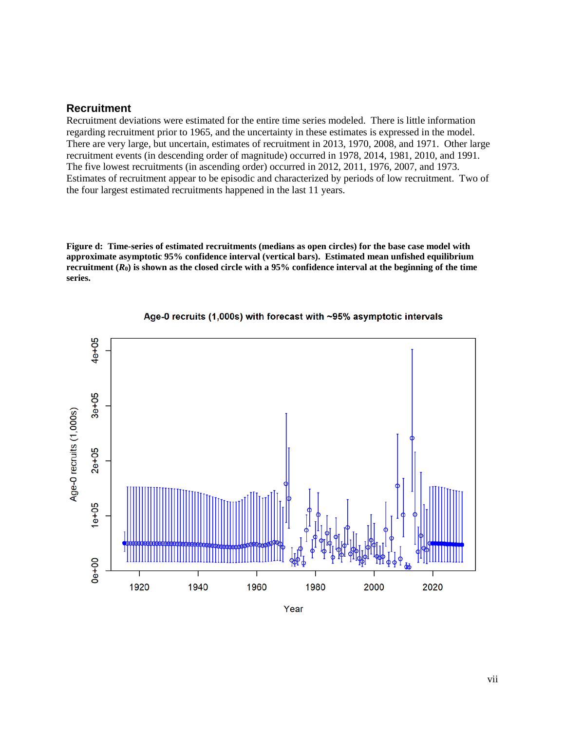#### **Recruitment**

Recruitment deviations were estimated for the entire time series modeled. There is little information regarding recruitment prior to 1965, and the uncertainty in these estimates is expressed in the model. There are very large, but uncertain, estimates of recruitment in 2013, 1970, 2008, and 1971. Other large recruitment events (in descending order of magnitude) occurred in 1978, 2014, 1981, 2010, and 1991. The five lowest recruitments (in ascending order) occurred in 2012, 2011, 1976, 2007, and 1973. Estimates of recruitment appear to be episodic and characterized by periods of low recruitment. Two of the four largest estimated recruitments happened in the last 11 years.

**Figure d: Time-series of estimated recruitments (medians as open circles) for the base case model with approximate asymptotic 95% confidence interval (vertical bars). Estimated mean unfished equilibrium recruitment (***R***0) is shown as the closed circle with a 95% confidence interval at the beginning of the time series.**



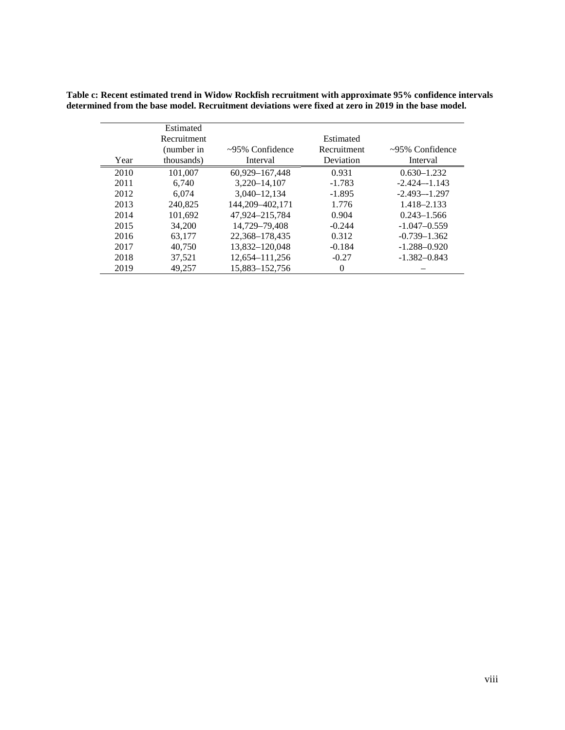|      | Estimated   |                       |             |                       |
|------|-------------|-----------------------|-------------|-----------------------|
|      | Recruitment |                       | Estimated   |                       |
|      | (number in  | $\sim$ 95% Confidence | Recruitment | $\sim$ 95% Confidence |
| Year | thousands)  | Interval              | Deviation   | Interval              |
| 2010 | 101,007     | 60.929-167.448        | 0.931       | $0.630 - 1.232$       |
| 2011 | 6.740       | 3.220-14.107          | $-1.783$    | $-2.424 - 1.143$      |
| 2012 | 6.074       | 3,040-12,134          | $-1.895$    | $-2.493 - 1.297$      |
| 2013 | 240.825     | 144,209-402,171       | 1.776       | 1.418-2.133           |
| 2014 | 101,692     | 47,924–215,784        | 0.904       | $0.243 - 1.566$       |
| 2015 | 34,200      | 14,729-79,408         | $-0.244$    | $-1.047 - 0.559$      |
| 2016 | 63.177      | 22.368-178.435        | 0.312       | $-0.739 - 1.362$      |
| 2017 | 40.750      | 13,832-120,048        | $-0.184$    | $-1.288 - 0.920$      |
| 2018 | 37,521      | 12,654-111,256        | $-0.27$     | $-1.382 - 0.843$      |
| 2019 | 49,257      | 15,883-152,756        | $\theta$    |                       |

**Table c: Recent estimated trend in Widow Rockfish recruitment with approximate 95% confidence intervals determined from the base model. Recruitment deviations were fixed at zero in 2019 in the base model.**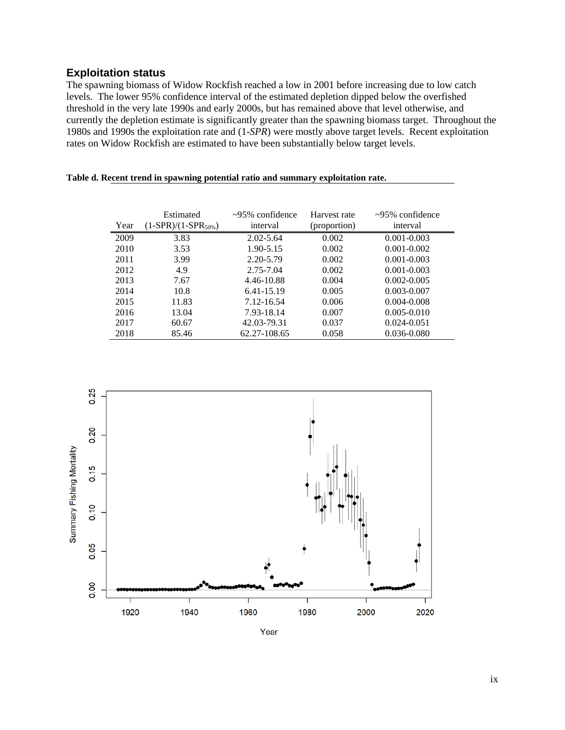## **Exploitation status**

The spawning biomass of Widow Rockfish reached a low in 2001 before increasing due to low catch levels. The lower 95% confidence interval of the estimated depletion dipped below the overfished threshold in the very late 1990s and early 2000s, but has remained above that level otherwise, and currently the depletion estimate is significantly greater than the spawning biomass target. Throughout the 1980s and 1990s the exploitation rate and (1-*SPR*) were mostly above target levels. Recent exploitation rates on Widow Rockfish are estimated to have been substantially below target levels.

|  |  |  | Table d. Recent trend in spawning potential ratio and summary exploitation rate. |  |
|--|--|--|----------------------------------------------------------------------------------|--|
|  |  |  |                                                                                  |  |

| Year | Estimated<br>$(1-SPR)/(1-SPR_{50\%})$ | $\sim$ 95% confidence<br>interval | Harvest rate<br>(proportion) | $\approx$ 95% confidence<br>interval |
|------|---------------------------------------|-----------------------------------|------------------------------|--------------------------------------|
| 2009 | 3.83                                  | $2.02 - 5.64$                     | 0.002                        | $0.001 - 0.003$                      |
| 2010 | 3.53                                  | 1.90-5.15                         | 0.002                        | $0.001 - 0.002$                      |
| 2011 | 3.99                                  | 2.20-5.79                         | 0.002                        | $0.001 - 0.003$                      |
| 2012 | 4.9                                   | 2.75-7.04                         | 0.002                        | $0.001 - 0.003$                      |
| 2013 | 7.67                                  | 4.46-10.88                        | 0.004                        | $0.002 - 0.005$                      |
| 2014 | 10.8                                  | 6.41-15.19                        | 0.005                        | $0.003 - 0.007$                      |
| 2015 | 11.83                                 | 7.12-16.54                        | 0.006                        | $0.004 - 0.008$                      |
| 2016 | 13.04                                 | 7.93-18.14                        | 0.007                        | $0.005 - 0.010$                      |
| 2017 | 60.67                                 | 42.03-79.31                       | 0.037                        | $0.024 - 0.051$                      |
| 2018 | 85.46                                 | 62.27-108.65                      | 0.058                        | $0.036 - 0.080$                      |



Year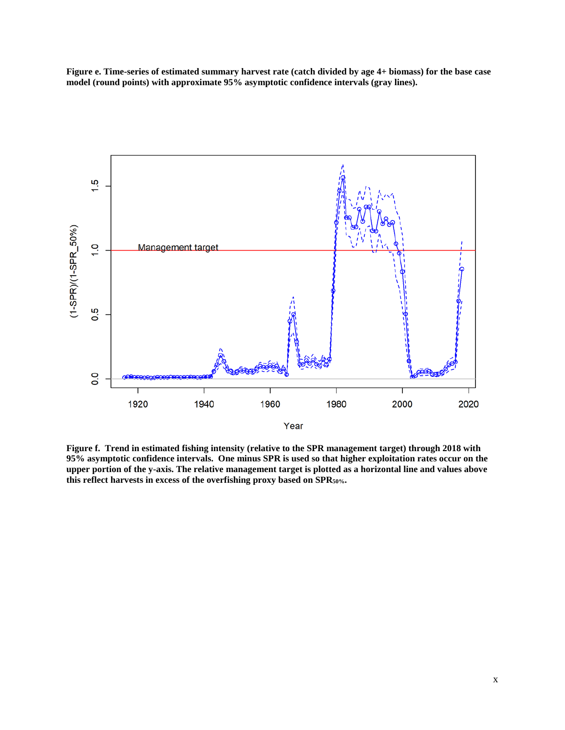**Figure e. Time-series of estimated summary harvest rate (catch divided by age 4+ biomass) for the base case model (round points) with approximate 95% asymptotic confidence intervals (gray lines).** 



**Figure f. Trend in estimated fishing intensity (relative to the SPR management target) through 2018 with 95% asymptotic confidence intervals. One minus SPR is used so that higher exploitation rates occur on the upper portion of the y-axis. The relative management target is plotted as a horizontal line and values above this reflect harvests in excess of the overfishing proxy based on SPR50%.**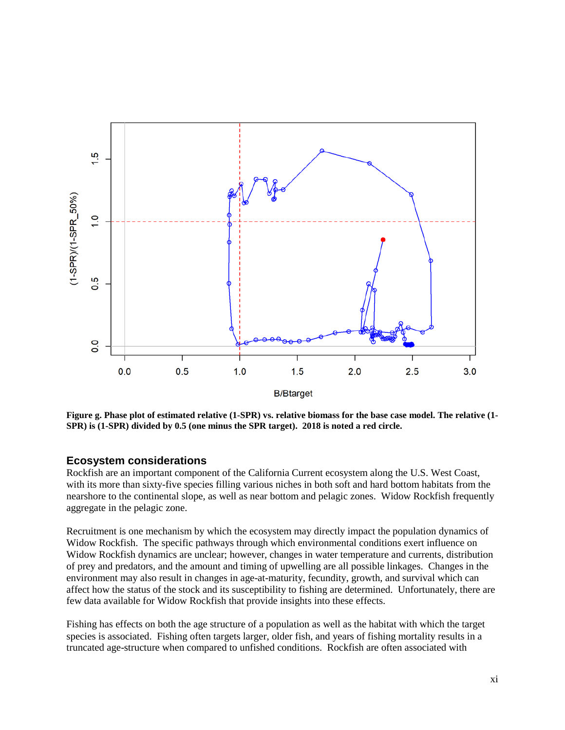

**Figure g. Phase plot of estimated relative (1-SPR) vs. relative biomass for the base case model. The relative (1- SPR) is (1-SPR) divided by 0.5 (one minus the SPR target). 2018 is noted a red circle.**

#### **Ecosystem considerations**

Rockfish are an important component of the California Current ecosystem along the U.S. West Coast, with its more than sixty-five species filling various niches in both soft and hard bottom habitats from the nearshore to the continental slope, as well as near bottom and pelagic zones. Widow Rockfish frequently aggregate in the pelagic zone.

Recruitment is one mechanism by which the ecosystem may directly impact the population dynamics of Widow Rockfish. The specific pathways through which environmental conditions exert influence on Widow Rockfish dynamics are unclear; however, changes in water temperature and currents, distribution of prey and predators, and the amount and timing of upwelling are all possible linkages. Changes in the environment may also result in changes in age-at-maturity, fecundity, growth, and survival which can affect how the status of the stock and its susceptibility to fishing are determined. Unfortunately, there are few data available for Widow Rockfish that provide insights into these effects.

Fishing has effects on both the age structure of a population as well as the habitat with which the target species is associated. Fishing often targets larger, older fish, and years of fishing mortality results in a truncated age-structure when compared to unfished conditions. Rockfish are often associated with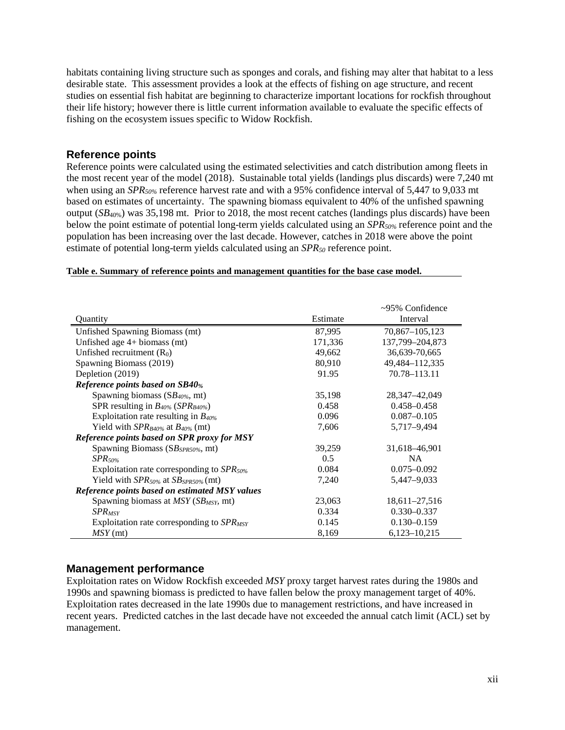habitats containing living structure such as sponges and corals, and fishing may alter that habitat to a less desirable state. This assessment provides a look at the effects of fishing on age structure, and recent studies on essential fish habitat are beginning to characterize important locations for rockfish throughout their life history; however there is little current information available to evaluate the specific effects of fishing on the ecosystem issues specific to Widow Rockfish.

## **Reference points**

Reference points were calculated using the estimated selectivities and catch distribution among fleets in the most recent year of the model (2018). Sustainable total yields (landings plus discards) were 7,240 mt when using an *SPR<sub>50%</sub>* reference harvest rate and with a 95% confidence interval of 5,447 to 9,033 mt based on estimates of uncertainty. The spawning biomass equivalent to 40% of the unfished spawning output (*SB*40%) was 35,198 mt. Prior to 2018, the most recent catches (landings plus discards) have been below the point estimate of potential long-term yields calculated using an *SPR50%* reference point and the population has been increasing over the last decade. However, catches in 2018 were above the point estimate of potential long-term yields calculated using an *SPR50* reference point.

#### **Table e. Summary of reference points and management quantities for the base case model.**

|                                                       |          | $\sim$ 95% Confidence |
|-------------------------------------------------------|----------|-----------------------|
| Quantity                                              | Estimate | Interval              |
| Unfished Spawning Biomass (mt)                        | 87,995   | 70,867-105,123        |
| Unfished age $4+$ biomass (mt)                        | 171,336  | 137,799-204,873       |
| Unfished recruitment $(R_0)$                          | 49,662   | 36,639-70,665         |
| Spawning Biomass (2019)                               | 80,910   | 49,484-112,335        |
| Depletion (2019)                                      | 91.95    | 70.78-113.11          |
| <b>Reference points based on SB40%</b>                |          |                       |
| Spawning biomass $(SB_{40\%}$ mt)                     | 35,198   | 28, 347 - 42, 049     |
| SPR resulting in $B_{40\%}$ (SPR <sub>B40%</sub> )    | 0.458    | $0.458 - 0.458$       |
| Exploitation rate resulting in $B_{40\%}$             | 0.096    | $0.087 - 0.105$       |
| Yield with $SPR_{B40\%}$ at $B_{40\%}$ (mt)           | 7,606    | 5,717-9,494           |
| Reference points based on SPR proxy for MSY           |          |                       |
| Spawning Biomass ( $SB_{SPR50\%}$ mt)                 | 39,259   | 31,618–46,901         |
| $SPR$ <sub>50%</sub>                                  | 0.5      | <b>NA</b>             |
| Exploitation rate corresponding to $SPR_{50\%}$       | 0.084    | $0.075 - 0.092$       |
| Yield with $SPR_{50\%}$ at $SB_{SPR50\%}$ (mt)        | 7,240    | 5,447-9,033           |
| <b>Reference points based on estimated MSY values</b> |          |                       |
| Spawning biomass at $MSY(SB_{MSY}, m_t)$              | 23,063   | 18,611-27,516         |
| $SPR_{MSY}$                                           | 0.334    | $0.330 - 0.337$       |
| Exploitation rate corresponding to $SPR_{MSY}$        | 0.145    | $0.130 - 0.159$       |
| $MSY$ (mt)                                            | 8,169    | 6,123-10,215          |

## **Management performance**

Exploitation rates on Widow Rockfish exceeded *MSY* proxy target harvest rates during the 1980s and 1990s and spawning biomass is predicted to have fallen below the proxy management target of 40%. Exploitation rates decreased in the late 1990s due to management restrictions, and have increased in recent years. Predicted catches in the last decade have not exceeded the annual catch limit (ACL) set by management.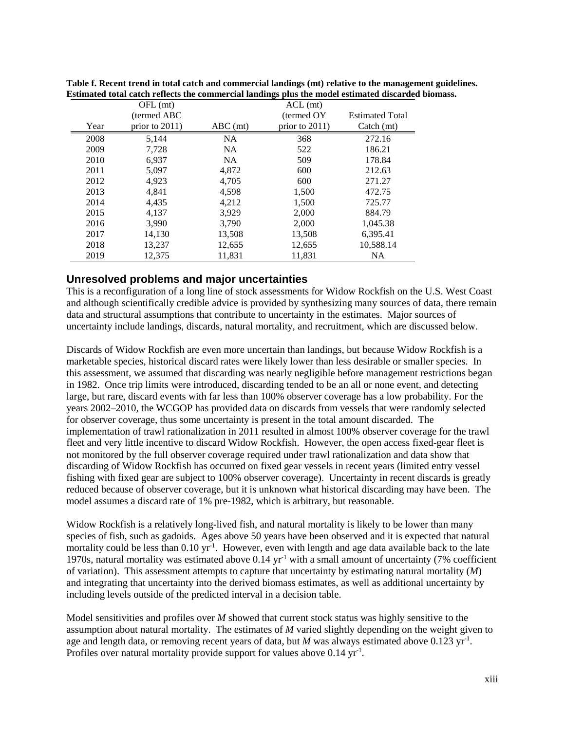|      | $OFL$ (mt)        |            | $ACL$ (mt)        |                           |
|------|-------------------|------------|-------------------|---------------------------|
|      | (termed ABC)      |            | (termed OY)       | <b>Estimated Total</b>    |
| Year | prior to $2011$ ) | $ABC$ (mt) | prior to $2011$ ) | $\text{Catch}(\text{mt})$ |
| 2008 | 5.144             | <b>NA</b>  | 368               | 272.16                    |
| 2009 | 7,728             | <b>NA</b>  | 522               | 186.21                    |
| 2010 | 6,937             | <b>NA</b>  | 509               | 178.84                    |
| 2011 | 5,097             | 4,872      | 600               | 212.63                    |
| 2012 | 4,923             | 4,705      | 600               | 271.27                    |
| 2013 | 4,841             | 4,598      | 1,500             | 472.75                    |
| 2014 | 4,435             | 4,212      | 1,500             | 725.77                    |
| 2015 | 4,137             | 3,929      | 2,000             | 884.79                    |
| 2016 | 3,990             | 3,790      | 2,000             | 1,045.38                  |
| 2017 | 14,130            | 13,508     | 13,508            | 6,395.41                  |
| 2018 | 13,237            | 12,655     | 12,655            | 10,588.14                 |
| 2019 | 12,375            | 11.831     | 11.831            | <b>NA</b>                 |

**Table f. Recent trend in total catch and commercial landings (mt) relative to the management guidelines. Estimated total catch reflects the commercial landings plus the model estimated discarded biomass.**

## **Unresolved problems and major uncertainties**

This is a reconfiguration of a long line of stock assessments for Widow Rockfish on the U.S. West Coast and although scientifically credible advice is provided by synthesizing many sources of data, there remain data and structural assumptions that contribute to uncertainty in the estimates. Major sources of uncertainty include landings, discards, natural mortality, and recruitment, which are discussed below.

Discards of Widow Rockfish are even more uncertain than landings, but because Widow Rockfish is a marketable species, historical discard rates were likely lower than less desirable or smaller species. In this assessment, we assumed that discarding was nearly negligible before management restrictions began in 1982. Once trip limits were introduced, discarding tended to be an all or none event, and detecting large, but rare, discard events with far less than 100% observer coverage has a low probability. For the years 2002–2010, the WCGOP has provided data on discards from vessels that were randomly selected for observer coverage, thus some uncertainty is present in the total amount discarded. The implementation of trawl rationalization in 2011 resulted in almost 100% observer coverage for the trawl fleet and very little incentive to discard Widow Rockfish. However, the open access fixed-gear fleet is not monitored by the full observer coverage required under trawl rationalization and data show that discarding of Widow Rockfish has occurred on fixed gear vessels in recent years (limited entry vessel fishing with fixed gear are subject to 100% observer coverage). Uncertainty in recent discards is greatly reduced because of observer coverage, but it is unknown what historical discarding may have been. The model assumes a discard rate of 1% pre-1982, which is arbitrary, but reasonable.

Widow Rockfish is a relatively long-lived fish, and natural mortality is likely to be lower than many species of fish, such as gadoids. Ages above 50 years have been observed and it is expected that natural mortality could be less than 0.10 yr<sup>-1</sup>. However, even with length and age data available back to the late 1970s, natural mortality was estimated above 0.14 yr-1 with a small amount of uncertainty (7% coefficient of variation). This assessment attempts to capture that uncertainty by estimating natural mortality (*M*) and integrating that uncertainty into the derived biomass estimates, as well as additional uncertainty by including levels outside of the predicted interval in a decision table.

Model sensitivities and profiles over *M* showed that current stock status was highly sensitive to the assumption about natural mortality. The estimates of *M* varied slightly depending on the weight given to age and length data, or removing recent years of data, but  $M$  was always estimated above  $0.123 \text{ yr}^{-1}$ . Profiles over natural mortality provide support for values above  $0.14 \text{ yr}^{-1}$ .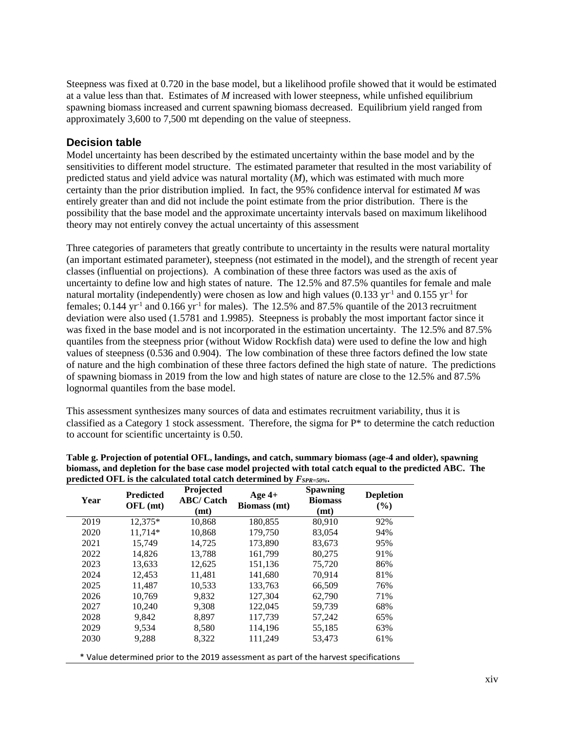Steepness was fixed at 0.720 in the base model, but a likelihood profile showed that it would be estimated at a value less than that. Estimates of *M* increased with lower steepness, while unfished equilibrium spawning biomass increased and current spawning biomass decreased. Equilibrium yield ranged from approximately 3,600 to 7,500 mt depending on the value of steepness.

## **Decision table**

Model uncertainty has been described by the estimated uncertainty within the base model and by the sensitivities to different model structure. The estimated parameter that resulted in the most variability of predicted status and yield advice was natural mortality (*M*), which was estimated with much more certainty than the prior distribution implied. In fact, the 95% confidence interval for estimated *M* was entirely greater than and did not include the point estimate from the prior distribution. There is the possibility that the base model and the approximate uncertainty intervals based on maximum likelihood theory may not entirely convey the actual uncertainty of this assessment

Three categories of parameters that greatly contribute to uncertainty in the results were natural mortality (an important estimated parameter), steepness (not estimated in the model), and the strength of recent year classes (influential on projections). A combination of these three factors was used as the axis of uncertainty to define low and high states of nature. The 12.5% and 87.5% quantiles for female and male natural mortality (independently) were chosen as low and high values (0.133 yr<sup>-1</sup> and 0.155 yr<sup>-1</sup> for females;  $0.144$  yr<sup>-1</sup> and  $0.166$  yr<sup>-1</sup> for males). The 12.5% and 87.5% quantile of the 2013 recruitment deviation were also used (1.5781 and 1.9985). Steepness is probably the most important factor since it was fixed in the base model and is not incorporated in the estimation uncertainty. The 12.5% and 87.5% quantiles from the steepness prior (without Widow Rockfish data) were used to define the low and high values of steepness (0.536 and 0.904). The low combination of these three factors defined the low state of nature and the high combination of these three factors defined the high state of nature. The predictions of spawning biomass in 2019 from the low and high states of nature are close to the 12.5% and 87.5% lognormal quantiles from the base model.

This assessment synthesizes many sources of data and estimates recruitment variability, thus it is classified as a Category 1 stock assessment. Therefore, the sigma for P\* to determine the catch reduction to account for scientific uncertainty is 0.50.

| Year | <b>Predicted</b><br>OFL (mt) | Projected<br><b>ABC/Catch</b><br>(mt) | Age $4+$<br><b>Biomass</b> (mt) | <b>Spawning</b><br><b>Biomass</b><br>(mt) | <b>Depletion</b><br>$($ %) |
|------|------------------------------|---------------------------------------|---------------------------------|-------------------------------------------|----------------------------|
| 2019 | 12,375*                      | 10,868                                | 180,855                         | 80,910                                    | 92%                        |
| 2020 | 11,714*                      | 10,868                                | 179,750                         | 83,054                                    | 94%                        |
| 2021 | 15,749                       | 14,725                                | 173,890                         | 83,673                                    | 95%                        |
| 2022 | 14,826                       | 13,788                                | 161.799                         | 80,275                                    | 91%                        |
| 2023 | 13.633                       | 12.625                                | 151.136                         | 75,720                                    | 86%                        |
| 2024 | 12.453                       | 11,481                                | 141.680                         | 70.914                                    | 81%                        |
| 2025 | 11.487                       | 10,533                                | 133.763                         | 66.509                                    | 76%                        |
| 2026 | 10,769                       | 9,832                                 | 127,304                         | 62,790                                    | 71%                        |
| 2027 | 10,240                       | 9,308                                 | 122,045                         | 59,739                                    | 68%                        |
| 2028 | 9,842                        | 8,897                                 | 117,739                         | 57,242                                    | 65%                        |
| 2029 | 9,534                        | 8,580                                 | 114,196                         | 55,185                                    | 63%                        |
| 2030 | 9,288                        | 8,322                                 | 111,249                         | 53,473                                    | 61%                        |

| Table g. Projection of potential OFL, landings, and catch, summary biomass (age-4 and older), spawning    |
|-----------------------------------------------------------------------------------------------------------|
| biomass, and depletion for the base case model projected with total catch equal to the predicted ABC. The |
| predicted OFL is the calculated total catch determined by $F_{SPR=50\%}$ .                                |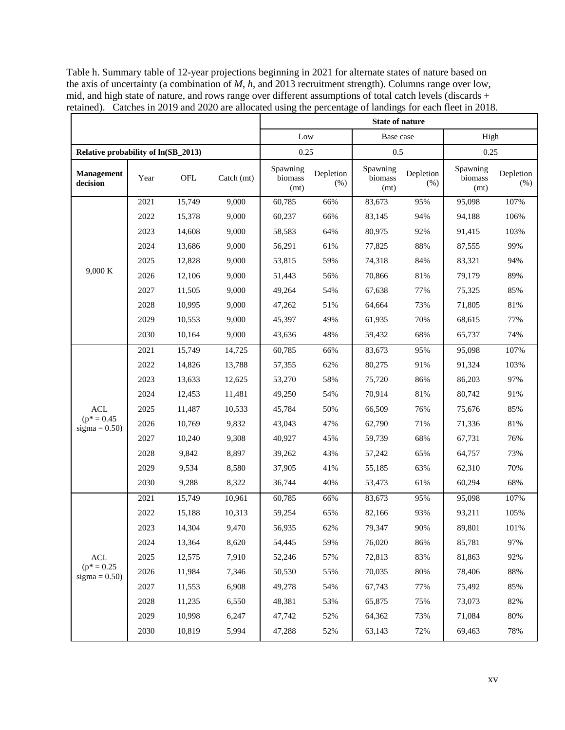|                                                           |                                     |        |            | Low                                                                               |                     |                                                                                                                                                                                                                                                                                                                                                                                                                                                                                                                                                                                                                                                                                                                                                                                                                                                                                                                                                                                                                                                                                                                                                                    |                  |                             |                  |
|-----------------------------------------------------------|-------------------------------------|--------|------------|-----------------------------------------------------------------------------------|---------------------|--------------------------------------------------------------------------------------------------------------------------------------------------------------------------------------------------------------------------------------------------------------------------------------------------------------------------------------------------------------------------------------------------------------------------------------------------------------------------------------------------------------------------------------------------------------------------------------------------------------------------------------------------------------------------------------------------------------------------------------------------------------------------------------------------------------------------------------------------------------------------------------------------------------------------------------------------------------------------------------------------------------------------------------------------------------------------------------------------------------------------------------------------------------------|------------------|-----------------------------|------------------|
|                                                           | Relative probability of ln(SB_2013) |        |            |                                                                                   | 0.5<br>0.25         |                                                                                                                                                                                                                                                                                                                                                                                                                                                                                                                                                                                                                                                                                                                                                                                                                                                                                                                                                                                                                                                                                                                                                                    |                  |                             |                  |
| <b>Management</b><br>decision                             | Year                                | OFL    | Catch (mt) | Spawning<br>biomass<br>(mt)                                                       | Depletion<br>$(\%)$ |                                                                                                                                                                                                                                                                                                                                                                                                                                                                                                                                                                                                                                                                                                                                                                                                                                                                                                                                                                                                                                                                                                                                                                    | Depletion<br>(%) | Spawning<br>biomass<br>(mt) | Depletion<br>(%) |
|                                                           | 2021                                | 15,749 | 9,000      | 60,785                                                                            | 66%                 | <b>State of nature</b><br>Base case<br>High<br>0.25<br>Spawning<br>biomass<br>(mt)<br>107%<br>83,673<br>95%<br>95,098<br>83,145<br>94%<br>94,188<br>106%<br>92%<br>103%<br>80,975<br>91,415<br>99%<br>88%<br>77,825<br>87,555<br>74,318<br>84%<br>83,321<br>94%<br>70,866<br>81%<br>79,179<br>89%<br>77%<br>85%<br>67,638<br>75,325<br>73%<br>$81\%$<br>71,805<br>64,664<br>70%<br>77%<br>61,935<br>68,615<br>68%<br>74%<br>59,432<br>65,737<br>83,673<br>95%<br>95,098<br>107%<br>80,275<br>91%<br>91,324<br>103%<br>86%<br>86,203<br>97%<br>75,720<br>81%<br>70,914<br>80,742<br>91%<br>66,509<br>76%<br>75,676<br>85%<br>71%<br>71,336<br>81%<br>62,790<br>59,739<br>68%<br>67,731<br>76%<br>65%<br>64,757<br>73%<br>57,242<br>63%<br>62,310<br>70%<br>55,185<br>68%<br>53,473<br>61%<br>60,294<br>95%<br>107%<br>83,673<br>95,098<br>82,166<br>93%<br>93,211<br>105%<br>79,347<br>$90\%$<br>89,801<br>101%<br>86%<br>85,781<br>97%<br>76,020<br>83%<br>92%<br>72,813<br>81,863<br>80%<br>$88\%$<br>70,035<br>78,406<br>67,743<br>77%<br>75,492<br>85%<br>75%<br>82%<br>65,875<br>73,073<br>$80\%$<br>64,362<br>73%<br>71,084<br>78%<br>63,143<br>72%<br>69,463 |                  |                             |                  |
| 9,000 K<br><b>ACL</b><br>$(p^* = 0.45)$<br>$sigma = 0.50$ | 2022                                | 15,378 | 9,000      | 60,237                                                                            | 66%                 |                                                                                                                                                                                                                                                                                                                                                                                                                                                                                                                                                                                                                                                                                                                                                                                                                                                                                                                                                                                                                                                                                                                                                                    |                  |                             |                  |
|                                                           | 2023                                | 14,608 | 9,000      | 58,583                                                                            | 64%                 |                                                                                                                                                                                                                                                                                                                                                                                                                                                                                                                                                                                                                                                                                                                                                                                                                                                                                                                                                                                                                                                                                                                                                                    |                  |                             |                  |
|                                                           | 2024                                | 13,686 | 9,000      | 56,291                                                                            | 61%                 |                                                                                                                                                                                                                                                                                                                                                                                                                                                                                                                                                                                                                                                                                                                                                                                                                                                                                                                                                                                                                                                                                                                                                                    |                  |                             |                  |
|                                                           | 2025                                | 12,828 | 9,000      | 53,815                                                                            | 59%                 |                                                                                                                                                                                                                                                                                                                                                                                                                                                                                                                                                                                                                                                                                                                                                                                                                                                                                                                                                                                                                                                                                                                                                                    |                  |                             |                  |
|                                                           | 2026                                | 12,106 | 9,000      | 51,443                                                                            | 56%                 |                                                                                                                                                                                                                                                                                                                                                                                                                                                                                                                                                                                                                                                                                                                                                                                                                                                                                                                                                                                                                                                                                                                                                                    |                  |                             |                  |
|                                                           | 2027                                | 11,505 | 9,000      | 49,264                                                                            | 54%                 |                                                                                                                                                                                                                                                                                                                                                                                                                                                                                                                                                                                                                                                                                                                                                                                                                                                                                                                                                                                                                                                                                                                                                                    |                  |                             |                  |
|                                                           | 2028                                | 10,995 | 9,000      | 47,262                                                                            | 51%                 |                                                                                                                                                                                                                                                                                                                                                                                                                                                                                                                                                                                                                                                                                                                                                                                                                                                                                                                                                                                                                                                                                                                                                                    |                  |                             |                  |
|                                                           | 2029                                | 10,553 | 9,000      | 45,397                                                                            | 49%                 |                                                                                                                                                                                                                                                                                                                                                                                                                                                                                                                                                                                                                                                                                                                                                                                                                                                                                                                                                                                                                                                                                                                                                                    |                  |                             |                  |
|                                                           | 2030                                | 10,164 | 9,000      | 43,636                                                                            | 48%                 |                                                                                                                                                                                                                                                                                                                                                                                                                                                                                                                                                                                                                                                                                                                                                                                                                                                                                                                                                                                                                                                                                                                                                                    |                  |                             |                  |
|                                                           | 2021                                | 15,749 | 14,725     | 60,785<br>66%<br>57,355<br>62%<br>53,270<br>58%<br>49,250<br>54%<br>45,784<br>50% |                     |                                                                                                                                                                                                                                                                                                                                                                                                                                                                                                                                                                                                                                                                                                                                                                                                                                                                                                                                                                                                                                                                                                                                                                    |                  |                             |                  |
|                                                           | 2022                                | 14,826 | 13,788     |                                                                                   |                     |                                                                                                                                                                                                                                                                                                                                                                                                                                                                                                                                                                                                                                                                                                                                                                                                                                                                                                                                                                                                                                                                                                                                                                    |                  |                             |                  |
|                                                           | 2023                                | 13,633 | 12,625     |                                                                                   |                     |                                                                                                                                                                                                                                                                                                                                                                                                                                                                                                                                                                                                                                                                                                                                                                                                                                                                                                                                                                                                                                                                                                                                                                    |                  |                             |                  |
|                                                           | 2024                                | 12,453 | 11,481     |                                                                                   |                     |                                                                                                                                                                                                                                                                                                                                                                                                                                                                                                                                                                                                                                                                                                                                                                                                                                                                                                                                                                                                                                                                                                                                                                    |                  |                             |                  |
|                                                           | 2025                                | 11,487 | 10,533     |                                                                                   |                     |                                                                                                                                                                                                                                                                                                                                                                                                                                                                                                                                                                                                                                                                                                                                                                                                                                                                                                                                                                                                                                                                                                                                                                    |                  |                             |                  |
|                                                           | 2026                                | 10,769 | 9,832      | 43,043                                                                            | 47%                 |                                                                                                                                                                                                                                                                                                                                                                                                                                                                                                                                                                                                                                                                                                                                                                                                                                                                                                                                                                                                                                                                                                                                                                    |                  |                             |                  |
|                                                           | 2027                                | 10,240 | 9,308      | 40,927                                                                            | 45%                 |                                                                                                                                                                                                                                                                                                                                                                                                                                                                                                                                                                                                                                                                                                                                                                                                                                                                                                                                                                                                                                                                                                                                                                    |                  |                             |                  |
|                                                           | 2028                                | 9,842  | 8,897      | 39,262                                                                            | 43%                 |                                                                                                                                                                                                                                                                                                                                                                                                                                                                                                                                                                                                                                                                                                                                                                                                                                                                                                                                                                                                                                                                                                                                                                    |                  |                             |                  |
|                                                           | 2029                                | 9,534  | 8,580      | 37,905                                                                            | 41%                 |                                                                                                                                                                                                                                                                                                                                                                                                                                                                                                                                                                                                                                                                                                                                                                                                                                                                                                                                                                                                                                                                                                                                                                    |                  |                             |                  |
|                                                           | 2030                                | 9,288  | 8,322      | 36,744                                                                            | 40%                 |                                                                                                                                                                                                                                                                                                                                                                                                                                                                                                                                                                                                                                                                                                                                                                                                                                                                                                                                                                                                                                                                                                                                                                    |                  |                             |                  |
|                                                           | 2021                                | 15,749 | 10,961     | 60,785                                                                            | 66%                 |                                                                                                                                                                                                                                                                                                                                                                                                                                                                                                                                                                                                                                                                                                                                                                                                                                                                                                                                                                                                                                                                                                                                                                    |                  |                             |                  |
|                                                           | 2022                                | 15,188 | 10,313     | 59,254                                                                            | 65%                 |                                                                                                                                                                                                                                                                                                                                                                                                                                                                                                                                                                                                                                                                                                                                                                                                                                                                                                                                                                                                                                                                                                                                                                    |                  |                             |                  |
|                                                           | 2023                                | 14,304 | 9,470      | 56,935                                                                            | $62\%$              |                                                                                                                                                                                                                                                                                                                                                                                                                                                                                                                                                                                                                                                                                                                                                                                                                                                                                                                                                                                                                                                                                                                                                                    |                  |                             |                  |
|                                                           | 2024                                | 13,364 | 8,620      | 54,445                                                                            | 59%                 |                                                                                                                                                                                                                                                                                                                                                                                                                                                                                                                                                                                                                                                                                                                                                                                                                                                                                                                                                                                                                                                                                                                                                                    |                  |                             |                  |
| $\mathbf{A}\mathbf{C}\mathbf{L}$                          | 2025                                | 12,575 | 7,910      | 52,246                                                                            | 57%                 |                                                                                                                                                                                                                                                                                                                                                                                                                                                                                                                                                                                                                                                                                                                                                                                                                                                                                                                                                                                                                                                                                                                                                                    |                  |                             |                  |
| $(p^* = 0.25)$<br>sigma = $0.50$ )                        | 2026                                | 11,984 | 7,346      | 50,530                                                                            | 55%                 |                                                                                                                                                                                                                                                                                                                                                                                                                                                                                                                                                                                                                                                                                                                                                                                                                                                                                                                                                                                                                                                                                                                                                                    |                  |                             |                  |
|                                                           | 2027                                | 11,553 | 6,908      | 49,278                                                                            | 54%                 |                                                                                                                                                                                                                                                                                                                                                                                                                                                                                                                                                                                                                                                                                                                                                                                                                                                                                                                                                                                                                                                                                                                                                                    |                  |                             |                  |
|                                                           | 2028                                | 11,235 | 6,550      | 48,381                                                                            | 53%                 |                                                                                                                                                                                                                                                                                                                                                                                                                                                                                                                                                                                                                                                                                                                                                                                                                                                                                                                                                                                                                                                                                                                                                                    |                  |                             |                  |
|                                                           | 2029                                | 10,998 | 6,247      | 47,742                                                                            | 52%                 |                                                                                                                                                                                                                                                                                                                                                                                                                                                                                                                                                                                                                                                                                                                                                                                                                                                                                                                                                                                                                                                                                                                                                                    |                  |                             |                  |
|                                                           | 2030                                | 10,819 | 5,994      | 47,288                                                                            | 52%                 |                                                                                                                                                                                                                                                                                                                                                                                                                                                                                                                                                                                                                                                                                                                                                                                                                                                                                                                                                                                                                                                                                                                                                                    |                  |                             |                  |

Table h. Summary table of 12-year projections beginning in 2021 for alternate states of nature based on the axis of uncertainty (a combination of *M*, *h*, and 2013 recruitment strength). Columns range over low, mid, and high state of nature, and rows range over different assumptions of total catch levels (discards + retained). Catches in 2019 and 2020 are allocated using the percentage of landings for each fleet in 2018.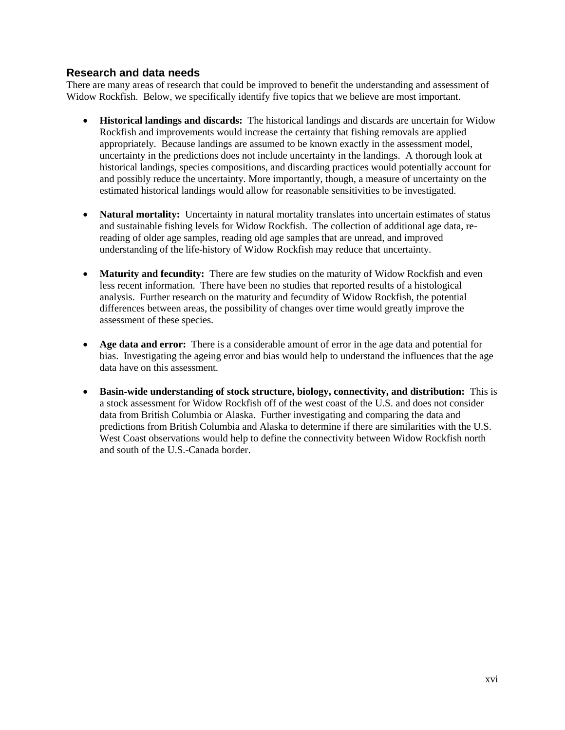## **Research and data needs**

There are many areas of research that could be improved to benefit the understanding and assessment of Widow Rockfish. Below, we specifically identify five topics that we believe are most important.

- **Historical landings and discards:** The historical landings and discards are uncertain for Widow Rockfish and improvements would increase the certainty that fishing removals are applied appropriately. Because landings are assumed to be known exactly in the assessment model, uncertainty in the predictions does not include uncertainty in the landings. A thorough look at historical landings, species compositions, and discarding practices would potentially account for and possibly reduce the uncertainty. More importantly, though, a measure of uncertainty on the estimated historical landings would allow for reasonable sensitivities to be investigated.
- **Natural mortality:** Uncertainty in natural mortality translates into uncertain estimates of status and sustainable fishing levels for Widow Rockfish. The collection of additional age data, rereading of older age samples, reading old age samples that are unread, and improved understanding of the life-history of Widow Rockfish may reduce that uncertainty.
- **Maturity and fecundity:** There are few studies on the maturity of Widow Rockfish and even less recent information. There have been no studies that reported results of a histological analysis. Further research on the maturity and fecundity of Widow Rockfish, the potential differences between areas, the possibility of changes over time would greatly improve the assessment of these species.
- **Age data and error:** There is a considerable amount of error in the age data and potential for bias. Investigating the ageing error and bias would help to understand the influences that the age data have on this assessment.
- **Basin-wide understanding of stock structure, biology, connectivity, and distribution:** This is a stock assessment for Widow Rockfish off of the west coast of the U.S. and does not consider data from British Columbia or Alaska. Further investigating and comparing the data and predictions from British Columbia and Alaska to determine if there are similarities with the U.S. West Coast observations would help to define the connectivity between Widow Rockfish north and south of the U.S.-Canada border.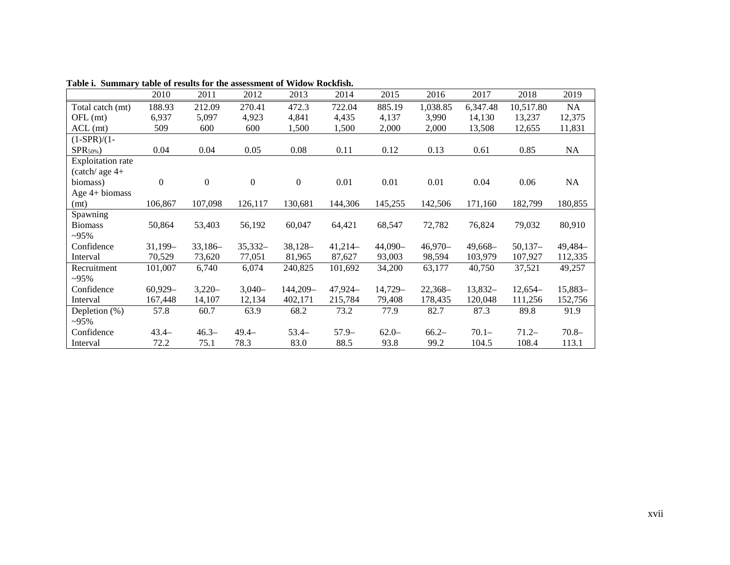|                          | 2010           | 2011         | 2012             | 2013             | 2014      | 2015      | 2016      | 2017      | 2018      | 2019      |
|--------------------------|----------------|--------------|------------------|------------------|-----------|-----------|-----------|-----------|-----------|-----------|
| Total catch (mt)         | 188.93         | 212.09       | 270.41           | 472.3            | 722.04    | 885.19    | 1,038.85  | 6,347.48  | 10,517.80 | NA        |
| $OFL$ (mt)               | 6,937          | 5,097        | 4,923            | 4,841            | 4,435     | 4,137     | 3,990     | 14,130    | 13,237    | 12,375    |
| $ACL$ (mt)               | 509            | 600          | 600              | 1,500            | 1,500     | 2,000     | 2,000     | 13,508    | 12,655    | 11,831    |
| $(1-SPR)/(1-$            |                |              |                  |                  |           |           |           |           |           |           |
| $SPR_{50\%})$            | 0.04           | 0.04         | 0.05             | 0.08             | 0.11      | 0.12      | 0.13      | 0.61      | 0.85      | <b>NA</b> |
| <b>Exploitation rate</b> |                |              |                  |                  |           |           |           |           |           |           |
| $(catch)$ age $4+$       |                |              |                  |                  |           |           |           |           |           |           |
| biomass)                 | $\overline{0}$ | $\mathbf{0}$ | $\boldsymbol{0}$ | $\boldsymbol{0}$ | 0.01      | 0.01      | 0.01      | 0.04      | 0.06      | <b>NA</b> |
| Age 4+ biomass           |                |              |                  |                  |           |           |           |           |           |           |
| (mt)                     | 106,867        | 107,098      | 126,117          | 130,681          | 144,306   | 145,255   | 142,506   | 171,160   | 182,799   | 180,855   |
| Spawning                 |                |              |                  |                  |           |           |           |           |           |           |
| <b>Biomass</b>           | 50,864         | 53,403       | 56,192           | 60,047           | 64,421    | 68,547    | 72,782    | 76,824    | 79,032    | 80,910    |
| $-95\%$                  |                |              |                  |                  |           |           |           |           |           |           |
| Confidence               | $31,199-$      | $33,186-$    | $35,332-$        | $38,128-$        | $41,214-$ | $44,090-$ | $46,970-$ | $49,668-$ | $50,137-$ | 49,484-   |
| Interval                 | 70,529         | 73,620       | 77,051           | 81,965           | 87,627    | 93,003    | 98,594    | 103,979   | 107,927   | 112,335   |
| Recruitment              | 101,007        | 6,740        | 6,074            | 240,825          | 101,692   | 34,200    | 63,177    | 40,750    | 37,521    | 49,257    |
| $-95\%$                  |                |              |                  |                  |           |           |           |           |           |           |
| Confidence               | $60,929-$      | $3,220-$     | $3,040-$         | 144,209-         | 47,924-   | 14,729-   | $22,368-$ | $13,832-$ | $12,654-$ | $15,883-$ |
| Interval                 | 167,448        | 14,107       | 12,134           | 402,171          | 215,784   | 79,408    | 178,435   | 120,048   | 111,256   | 152,756   |
| Depletion $(\%)$         | 57.8           | 60.7         | 63.9             | 68.2             | 73.2      | 77.9      | 82.7      | 87.3      | 89.8      | 91.9      |
| $-95\%$                  |                |              |                  |                  |           |           |           |           |           |           |
| Confidence               | $43.4 -$       | $46.3 -$     | $49.4-$          | $53.4-$          | $57.9-$   | $62.0 -$  | $66.2 -$  | $70.1 -$  | $71.2-$   | $70.8 -$  |
| Interval                 | 72.2           | 75.1         | 78.3             | 83.0             | 88.5      | 93.8      | 99.2      | 104.5     | 108.4     | 113.1     |

**Table i. Summary table of results for the assessment of Widow Rockfish.**